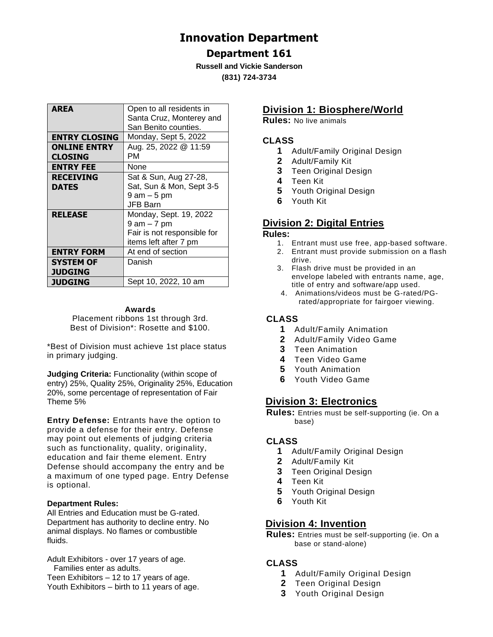# **Innovation Department**

# **Department 161**

**Russell and Vickie Sanderson (831) 724-3734**

| <b>AREA</b>                           | Open to all residents in<br>Santa Cruz, Monterey and<br>San Benito counties.                  |
|---------------------------------------|-----------------------------------------------------------------------------------------------|
| <b>ENTRY CLOSING</b>                  | Monday, Sept 5, 2022                                                                          |
| <b>ONLINE ENTRY</b><br><b>CLOSING</b> | Aug. 25, 2022 @ 11:59<br>PМ                                                                   |
| <b>ENTRY FEE</b>                      | None                                                                                          |
| <b>RECEIVING</b><br><b>DATES</b>      | Sat & Sun, Aug 27-28,<br>Sat, Sun & Mon, Sept 3-5<br>9 am – 5 pm<br>JFB Barn                  |
| <b>RELEASE</b>                        | Monday, Sept. 19, 2022<br>9 am – 7 pm<br>Fair is not responsible for<br>items left after 7 pm |
| <b>ENTRY FORM</b>                     | At end of section                                                                             |
| <b>SYSTEM OF</b><br><b>JUDGING</b>    | Danish                                                                                        |
| <b>JUDGING</b>                        | Sept 10, 2022, 10 am                                                                          |

#### **Awards**

Placement ribbons 1st through 3rd. Best of Division\*: Rosette and \$100.

\*Best of Division must achieve 1st place status in primary judging.

**Judging Criteria:** Functionality (within scope of entry) 25%, Quality 25%, Originality 25%, Education 20%, some percentage of representation of Fair Theme 5%

**Entry Defense:** Entrants have the option to provide a defense for their entry. Defense may point out elements of judging criteria such as functionality, quality, originality, education and fair theme element. Entry Defense should accompany the entry and be a maximum of one typed page. Entry Defense is optional.

#### **Department Rules:**

All Entries and Education must be G-rated. Department has authority to decline entry. No animal displays. No flames or combustible fluids.

Adult Exhibitors - over 17 years of age. Families enter as adults. Teen Exhibitors – 12 to 17 years of age. Youth Exhibitors – birth to 11 years of age.

# **Division 1: Biosphere/World**

**Rules:** No live animals

#### **CLASS**

- **1** Adult/Family Original Design
- **2** Adult/Family Kit
- **3** Teen Original Design
- **4** Teen Kit
- **5** Youth Original Design
- **6** Youth Kit

# **Division 2: Digital Entries**

#### **Rules:**

- 1. Entrant must use free, app-based software.
- 2. Entrant must provide submission on a flash drive.
- 3. Flash drive must be provided in an envelope labeled with entrants name, age, title of entry and software/app used.
- 4. Animations/videos must be G-rated/PGrated/appropriate for fairgoer viewing.

## **CLASS**

- **1** Adult/Family Animation
- **2** Adult/Family Video Game
- **3** Teen Animation
- **4** Teen Video Game
- **5** Youth Animation
- **6** Youth Video Game

# **Division 3: Electronics**

**Rules:** Entries must be self-supporting (ie. On a base)

### **CLASS**

- **1** Adult/Family Original Design
- **2** Adult/Family Kit
- **3** Teen Original Design
- **4** Teen Kit
- **5** Youth Original Design
- **6** Youth Kit

# **Division 4: Invention**

**Rules:** Entries must be self-supporting (ie. On a base or stand-alone)

### **CLASS**

- **1** Adult/Family Original Design
- **2** Teen Original Design
- **3** Youth Original Design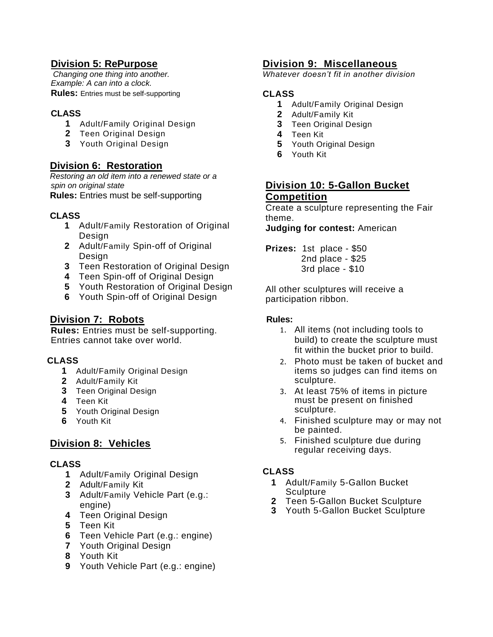# **Division 5: RePurpose**

*Changing one thing into another. Example: A can into a clock.*  **Rules:** Entries must be self-supporting

## **CLASS**

- **1** Adult/Family Original Design
- **2** Teen Original Design
- **3** Youth Original Design

# **Division 6: Restoration**

*Restoring an old item into a renewed state or a spin on original state*  **Rules:** Entries must be self-supporting

### **CLASS**

- **1** Adult/Family Restoration of Original Design
- **2** Adult/Family Spin-off of Original Design
- **3** Teen Restoration of Original Design
- **4** Teen Spin-off of Original Design
- **5** Youth Restoration of Original Design
- **6** Youth Spin-off of Original Design

# **Division 7: Robots**

**Rules:** Entries must be self-supporting. Entries cannot take over world.

### **CLASS**

- **1** Adult/Family Original Design
- **2** Adult/Family Kit
- **3** Teen Original Design
- **4** Teen Kit
- **5** Youth Original Design
- **6** Youth Kit

# **Division 8: Vehicles**

### **CLASS**

- **1** Adult/Family Original Design
- **2** Adult/Family Kit
- **3** Adult/Family Vehicle Part (e.g.: engine)
- **4** Teen Original Design
- **5** Teen Kit
- **6** Teen Vehicle Part (e.g.: engine)
- **7** Youth Original Design
- **8** Youth Kit
- **9** Youth Vehicle Part (e.g.: engine)

## **Division 9: Miscellaneous**

*Whatever doesn't fit in another division*

#### **CLASS**

- **1** Adult/Family Original Design
- **2** Adult/Family Kit
- **3** Teen Original Design
- **4** Teen Kit
- **5** Youth Original Design
- **6** Youth Kit

## **Division 10: 5-Gallon Bucket Competition**

Create a sculpture representing the Fair theme.

**Judging for contest:** American

**Prizes:** 1st place - \$50 2nd place - \$25 3rd place - \$10

All other sculptures will receive a participation ribbon.

#### **Rules:**

- 1. All items (not including tools to build) to create the sculpture must fit within the bucket prior to build.
- 2. Photo must be taken of bucket and items so judges can find items on sculpture.
- 3. At least 75% of items in picture must be present on finished sculpture.
- 4. Finished sculpture may or may not be painted.
- 5. Finished sculpture due during regular receiving days.

# **CLASS**

- **1** Adult/Family 5-Gallon Bucket **Sculpture**
- **2** Teen 5-Gallon Bucket Sculpture
- **3** Youth 5-Gallon Bucket Sculpture